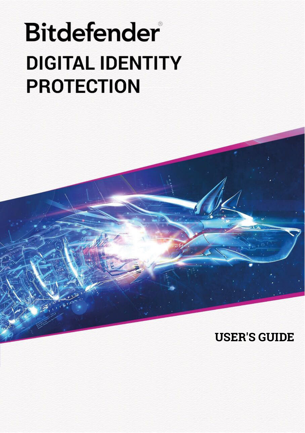# **Bitdefender DIGITAL IDENTITY PROTECTION**

# **USER'S GUIDE**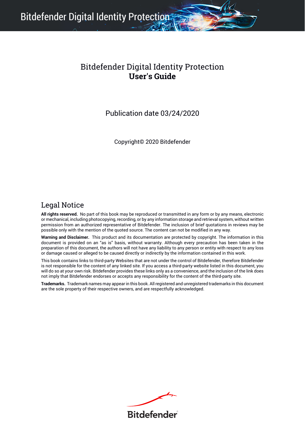Bitdefender Digital Identity Protection

#### Bitdefender Digital Identity Protection **User's Guide**

Publication date 03/24/2020

Copyright© 2020 Bitdefender

#### Legal Notice

**All rights reserved.** No part of this book may be reproduced or transmitted in any form or by any means, electronic or mechanical, including photocopying, recording, or by any information storage and retrieval system, without written permission from an authorized representative of Bitdefender. The inclusion of brief quotations in reviews may be possible only with the mention of the quoted source. The content can not be modified in any way.

**Warning and Disclaimer.** This product and its documentation are protected by copyright. The information in this document is provided on an "as is" basis, without warranty. Although every precaution has been taken in the<br>preparation of this document, the authors will not have any liability to any person or entity with respect to any or damage caused or alleged to be caused directly or indirectly by the information contained in this work.

This book contains links to third-party Websites that are not under the control of Bitdefender, therefore Bitdefender is not responsible for the content of any linked site. If you access a third-party website listed in this document, you will do so at your own risk. Bitdefender provides these links only as a convenience, and the inclusion of the link does not imply that Bitdefender endorses or accepts any responsibility for the content of the third-party site.

**Trademarks.** Trademark names may appear in this book. All registered and unregistered trademarks in this document are the sole property of their respective owners, and are respectfully acknowledged.

**Ritdefender**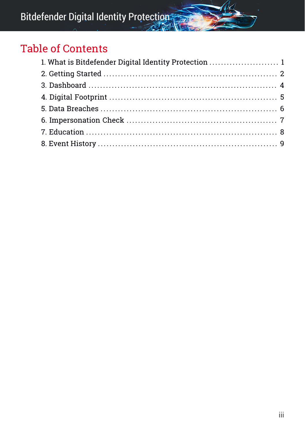# Table of Contents

| 1. What is Bitdefender Digital Identity Protection  1 |  |
|-------------------------------------------------------|--|
|                                                       |  |
|                                                       |  |
|                                                       |  |
|                                                       |  |
|                                                       |  |
|                                                       |  |
|                                                       |  |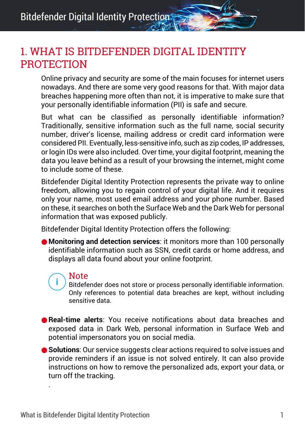### <span id="page-3-0"></span>1. WHAT IS BITDEFENDER DIGITAL IDENTITY PROTECTION

Online privacy and security are some of the main focuses for internet users nowadays. And there are some very good reasons for that. With major data breaches happening more often than not, it is imperative to make sure that your personally identifiable information (PII) is safe and secure.

But what can be classified as personally identifiable information? Traditionally, sensitive information such as the full name, social security number, driver's license, mailing address or credit card information were considered PII. Eventually, less-sensitive info, such as zip codes, IP addresses, or login IDs were also included. Over time, your digital footprint, meaning the data you leave behind as a result of your browsing the internet, might come to include some of these.

Bitdefender Digital Identity Protection represents the private way to online freedom, allowing you to regain control of your digital life. And it requires only your name, most used email address and your phone number. Based on these, it searches on both the Surface Web and the Dark Web for personal information that was exposed publicly.

Bitdefender Digital Identity Protection offers the following:

● **Monitoring and detection services**: it monitors more than 100 personally identifiable information such as SSN, credit cards or home address, and displays all data found about your online footprint.

#### **Note**

Bitdefender does not store or process personally identifiable information. Only references to potential data breaches are kept, without including sensitive data.

- **Real-time alerts**: You receive notifications about data breaches and exposed data in Dark Web, personal information in Surface Web and potential impersonators you on social media.
- **Solutions**: Our service suggests clear actions required to solve issues and provide reminders if an issue is not solved entirely. It can also provide instructions on how to remove the personalized ads, export your data, or turn off the tracking.

.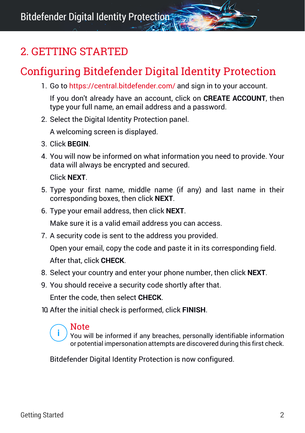# <span id="page-4-0"></span>2. GETTING STARTED

# Configuring Bitdefender Digital Identity Protection

1. Go to <https://central.bitdefender.com/> and sign in to your account.

If you don't already have an account, click on **CREATE ACCOUNT**, then type your full name, an email address and a password.

2. Select the Digital Identity Protection panel.

A welcoming screen is displayed.

- 3. Click **BEGIN**.
- 4. You will now be informed on what information you need to provide. Your data will always be encrypted and secured.

Click **NEXT**.

- 5. Type your first name, middle name (if any) and last name in their corresponding boxes, then click **NEXT**.
- 6. Type your email address, then click **NEXT**.

Make sure it is a valid email address you can access.

7. A security code is sent to the address you provided.

Open your email, copy the code and paste it in its corresponding field. After that, click **CHECK**.

- 8. Select your country and enter your phone number, then click **NEXT**.
- 9. You should receive a security code shortly after that.

Enter the code, then select **CHECK**.

10. After the initial check is performed, click **FINISH**.

#### **Note**

You will be informed if any breaches, personally identifiable information or potential impersonation attempts are discovered during this first check.

Bitdefender Digital Identity Protection is now configured.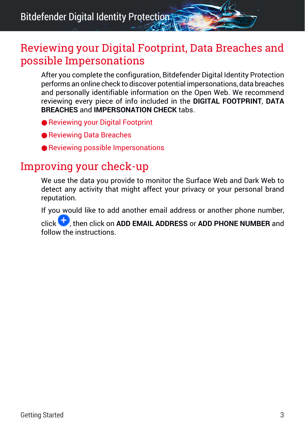Bitdefender Digital Identity Protection

#### Reviewing your Digital Footprint, Data Breaches and possible Impersonations

After you complete the configuration, Bitdefender Digital Identity Protection performs an online check to discover potential impersonations, data breaches and personally identifiable information on the Open Web. We recommend reviewing every piece of info included in the **DIGITAL FOOTPRINT**, **DATA BREACHES** and **IMPERSONATION CHECK** tabs.

- [Reviewing](#page-7-1) your Digital Footprint
- [Reviewing](#page-8-1) Data Breaches
- Reviewing possible [Impersonations](#page-9-1)

#### Improving your check-up

We use the data you provide to monitor the Surface Web and Dark Web to detect any activity that might affect your privacy or your personal brand reputation.

If you would like to add another email address or another phone number,

click , then click on **ADD EMAIL ADDRESS** or **ADD PHONE NUMBER** and follow the instructions.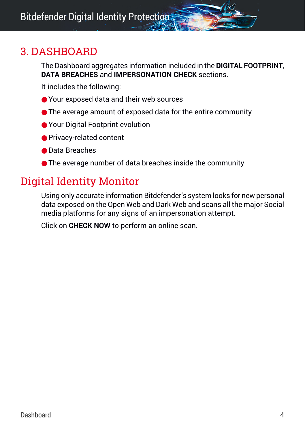### <span id="page-6-0"></span>3. DASHBOARD

The Dashboard aggregates information included in the **DIGITAL FOOTPRINT**, **DATA BREACHES** and **IMPERSONATION CHECK** sections.

It includes the following:

- Your exposed data and their web sources
- The average amount of exposed data for the entire community
- Your Digital Footprint evolution
- Privacy-related content
- Data Breaches
- The average number of data breaches inside the community

# Digital Identity Monitor

Using only accurate information Bitdefender's system looks for new personal data exposed on the Open Web and Dark Web and scans all the major Social media platforms for any signs of an impersonation attempt.

Click on **CHECK NOW** to perform an online scan.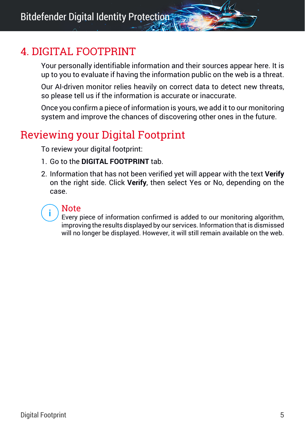# <span id="page-7-0"></span>4. DIGITAL FOOTPRINT

Your personally identifiable information and their sources appear here. It is up to you to evaluate if having the information public on the web is a threat.

Our AI-driven monitor relies heavily on correct data to detect new threats, so please tell us if the information is accurate or inaccurate.

<span id="page-7-1"></span>Once you confirm a piece of information is yours, we add it to our monitoring system and improve the chances of discovering other ones in the future.

# Reviewing your Digital Footprint

To review your digital footprint:

- 1. Go to the **DIGITAL FOOTPRINT** tab.
- 2. Information that has not been verified yet will appear with the text **Verify** on the right side. Click **Verify**, then select Yes or No, depending on the case.

#### Note

Every piece of information confirmed is added to our monitoring algorithm, improving the results displayed by our services. Information that is dismissed will no longer be displayed. However, it will still remain available on the web.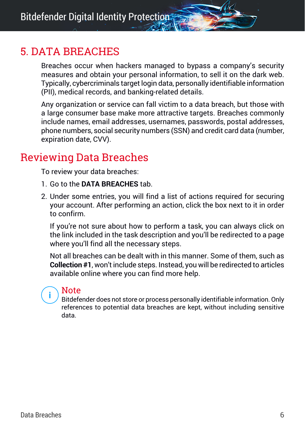# <span id="page-8-0"></span>5. DATA BREACHES

Breaches occur when hackers managed to bypass a company's security measures and obtain your personal information, to sell it on the dark web. Typically, cybercriminals target login data, personally identifiable information (PII), medical records, and banking-related details.

Any organization or service can fall victim to a data breach, but those with a large consumer base make more attractive targets. Breaches commonly include names, email addresses, usernames, passwords, postal addresses, phone numbers, social security numbers (SSN) and credit card data (number, expiration date, CVV).

# <span id="page-8-1"></span>Reviewing Data Breaches

To review your data breaches:

- 1. Go to the **DATA BREACHES** tab.
- 2. Under some entries, you will find a list of actions required for securing your account. After performing an action, click the box next to it in order to confirm.

If you're not sure about how to perform a task, you can always click on the link included in the task description and you'll be redirected to a page where you'll find all the necessary steps.

Not all breaches can be dealt with in this manner. Some of them, such as **Collection #1**, won't include steps. Instead, you will be redirected to articles available online where you can find more help.

#### Note

Bitdefender does not store or process personally identifiable information. Only references to potential data breaches are kept, without including sensitive data.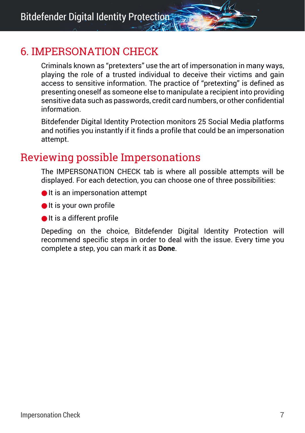# <span id="page-9-0"></span>6. IMPERSONATION CHECK

Criminals known as "pretexters" use the art of impersonation in many ways, playing the role of a trusted individual to deceive their victims and gain access to sensitive information. The practice of "pretexting" is defined as presenting oneself as someone else to manipulate a recipient into providing sensitive data such as passwords, credit card numbers, or other confidential information.

<span id="page-9-1"></span>Bitdefender Digital Identity Protection monitors 25 Social Media platforms and notifies you instantly if it finds a profile that could be an impersonation attempt.

### Reviewing possible Impersonations

The IMPERSONATION CHECK tab is where all possible attempts will be displayed. For each detection, you can choose one of three possibilities:

- It is an impersonation attempt
- It is your own profile
- It is a different profile

Depeding on the choice, Bitdefender Digital Identity Protection will recommend specific steps in order to deal with the issue. Every time you complete a step, you can mark it as **Done**.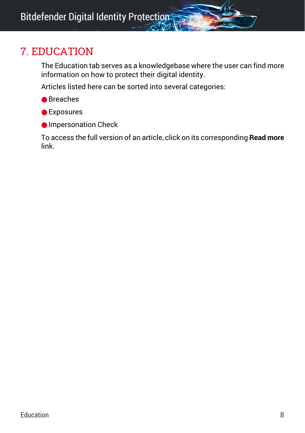# <span id="page-10-0"></span>7. EDUCATION

The Education tab serves as a knowledgebase where the user can find more information on how to protect their digital identity.

Articles listed here can be sorted into several categories:

- Breaches
- Exposures
- Impersonation Check

To access the full version of an article, click on its corresponding **Read more** link.